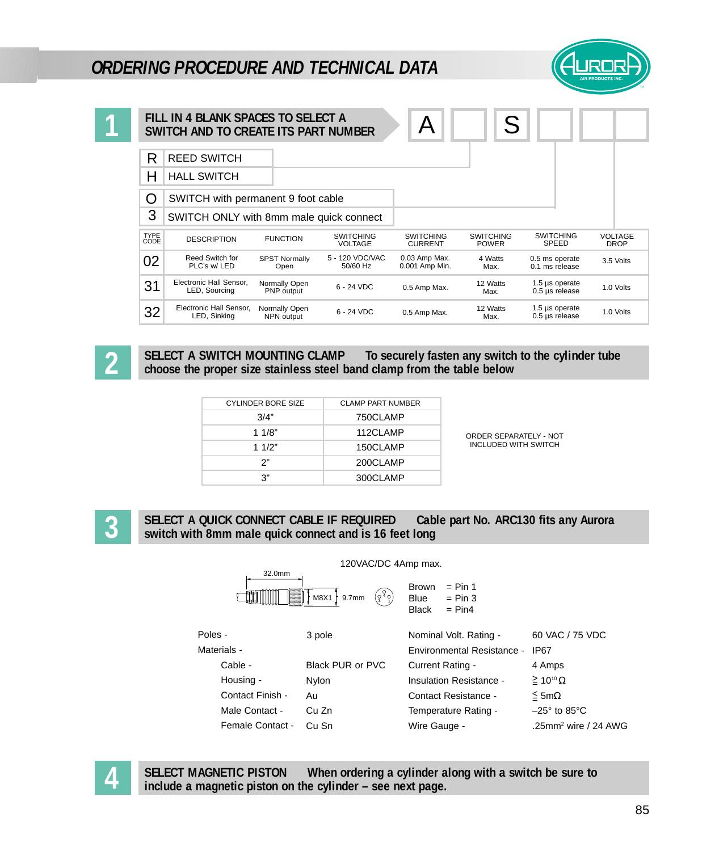## *ORDERING PROCEDURE AND TECHNICAL DATA*



|              | FILL IN 4 BLANK SPACES TO SELECT A<br>SWITCH AND TO CREATE ITS PART NUMBER |                              |                                    |                                    | S                                |                                         |                               |
|--------------|----------------------------------------------------------------------------|------------------------------|------------------------------------|------------------------------------|----------------------------------|-----------------------------------------|-------------------------------|
| R            | <b>REED SWITCH</b>                                                         |                              |                                    |                                    |                                  |                                         |                               |
| Н            | <b>HALL SWITCH</b>                                                         |                              |                                    |                                    |                                  |                                         |                               |
| O            | SWITCH with permanent 9 foot cable                                         |                              |                                    |                                    |                                  |                                         |                               |
| 3            | SWITCH ONLY with 8mm male quick connect                                    |                              |                                    |                                    |                                  |                                         |                               |
| TYPE<br>CODE | <b>DESCRIPTION</b>                                                         | <b>FUNCTION</b>              | <b>SWITCHING</b><br><b>VOLTAGE</b> | <b>SWITCHING</b><br><b>CURRENT</b> | <b>SWITCHING</b><br><b>POWER</b> | <b>SWITCHING</b><br><b>SPEED</b>        | <b>VOLTAGE</b><br><b>DROP</b> |
| 02           | Reed Switch for<br>PLC's w/LED                                             | <b>SPST Normally</b><br>Open | 5 - 120 VDC/VAC<br>50/60 Hz        | 0.03 Amp Max.<br>0.001 Amp Min.    | 4 Watts<br>Max.                  | 0.5 ms operate<br>0.1 ms release        | 3.5 Volts                     |
| 31           | Electronic Hall Sensor,<br>LED, Sourcing                                   | Normally Open<br>PNP output  | $6 - 24$ VDC                       | 0.5 Amp Max.                       | 12 Watts<br>Max.                 | 1.5 $\mu$ s operate<br>$0.5$ µs release | 1.0 Volts                     |
| 32           | Electronic Hall Sensor,<br>LED, Sinking                                    | Normally Open<br>NPN output  | 6 - 24 VDC                         | 0.5 Amp Max.                       | 12 Watts<br>Max.                 | 1.5 µs operate<br>$0.5$ µs release      | 1.0 Volts                     |

**2**

**1**

**SELECT A SWITCH MOUNTING CLAMP To securely fasten any switch to the cylinder tube choose the proper size stainless steel band clamp from the table below**

| <b>CYLINDER BORE SIZE</b> | <b>CLAMP PART NUMBER</b> |
|---------------------------|--------------------------|
| 3/4"                      | 750CLAMP                 |
| 11/8"                     | 112CLAMP                 |
| 1 $1/2"$                  | 150CLAMP                 |
| ን"                        | 200CLAMP                 |
| ג?                        | 300CLAMP                 |

ORDER SEPARATELY - NOT INCLUDED WITH SWITCH

**3**

**SELECT A QUICK CONNECT CABLE IF REQUIRED Cable part No. ARC130 fits any Aurora switch with 8mm male quick connect and is 16 feet long**



**4**

**SELECT MAGNETIC PISTON When ordering a cylinder along with a switch be sure to include a magnetic piston on the cylinder – see next page.**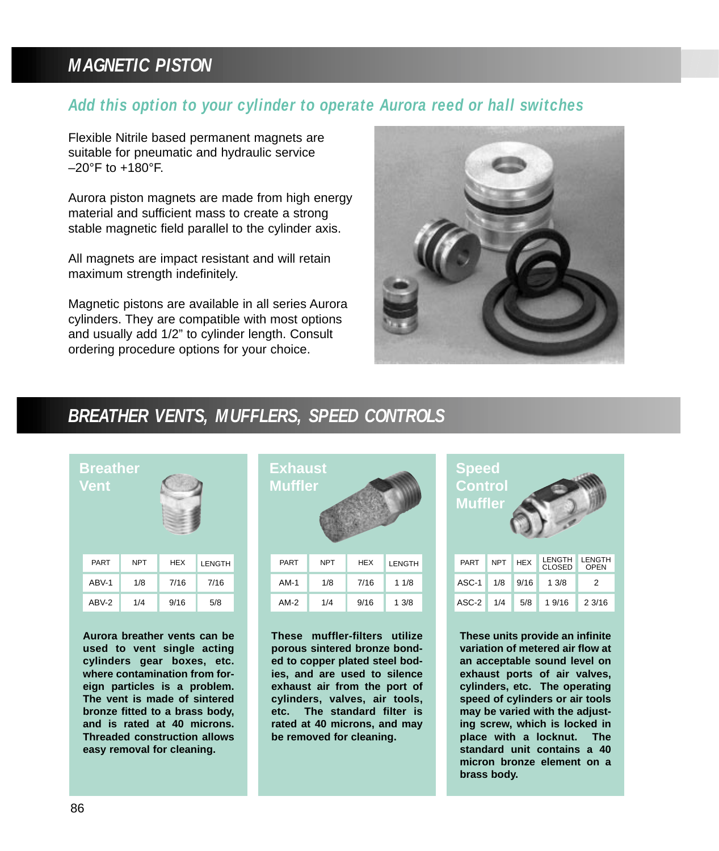# *MAGNETIC PISTON*

### *Add this option to your cylinder to operate Aurora reed or hall switches*

Flexible Nitrile based permanent magnets are suitable for pneumatic and hydraulic service  $-20$ °F to  $+180$ °F.

Aurora piston magnets are made from high energy material and sufficient mass to create a strong stable magnetic field parallel to the cylinder axis.

All magnets are impact resistant and will retain maximum strength indefinitely.

Magnetic pistons are available in all series Aurora cylinders. They are compatible with most options and usually add 1/2" to cylinder length. Consult ordering procedure options for your choice.



### *BREATHER VENTS, MUFFLERS, SPEED CONTROLS*

| <b>Breather</b><br><b>Vent</b> |            |            |        |  |
|--------------------------------|------------|------------|--------|--|
| PART                           | <b>NPT</b> | <b>HEX</b> | LENGTH |  |
| ABV-1                          | 1/8        | 7/16       | 7/16   |  |
| ABV-2                          | 1/4        | 9/16       | 5/8    |  |
|                                |            |            |        |  |

**Aurora breather vents can be used to vent single acting cylinders gear boxes, etc. where contamination from foreign particles is a problem. The vent is made of sintered bronze fitted to a brass body, and is rated at 40 microns. Threaded construction allows easy removal for cleaning.**



**These muffler-filters utilize porous sintered bronze bonded to copper plated steel bodies, and are used to silence exhaust air from the port of cylinders, valves, air tools, etc. The standard filter is rated at 40 microns, and may be removed for cleaning.**

| <b>Speed</b><br><b>Control</b><br><b>Muffler</b> |            |            |                         |                              |  |  |
|--------------------------------------------------|------------|------------|-------------------------|------------------------------|--|--|
| PART                                             | <b>NPT</b> | <b>HEX</b> | LENGTH<br><b>CLOSED</b> | <b>LENGTH</b><br><b>OPEN</b> |  |  |
| ASC-1                                            | 1/8        | 9/16       | 1.3/8                   | 2                            |  |  |
| ASC-2                                            | 1/4        | 5/8        | 1 9/16                  | 23/16                        |  |  |

**These units provide an infinite variation of metered air flow at an acceptable sound level on exhaust ports of air valves, cylinders, etc. The operating speed of cylinders or air tools may be varied with the adjusting screw, which is locked in place with a locknut. The standard unit contains a 40 micron bronze element on a brass body.**